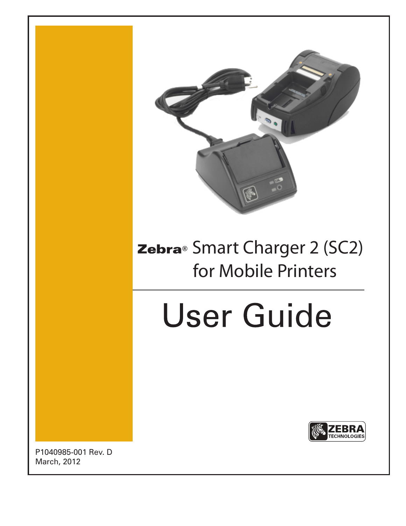

# **for Mobile Printers** Zebra<sup>®</sup> Smart Charger 2 (SC2)

# **User Guide**



P1040985-001 Rev. D March, 2012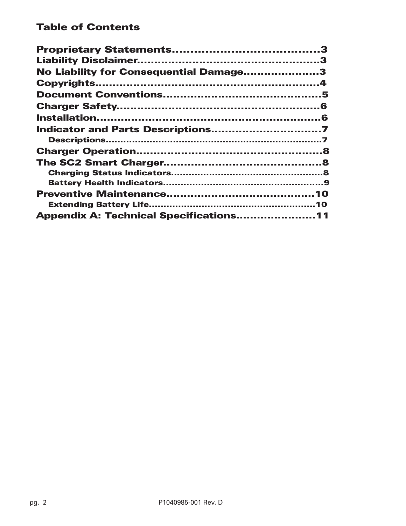# Table of Contents

| No Liability for Consequential Damage3 |  |
|----------------------------------------|--|
|                                        |  |
|                                        |  |
|                                        |  |
|                                        |  |
|                                        |  |
|                                        |  |
|                                        |  |
|                                        |  |
|                                        |  |
|                                        |  |
|                                        |  |
|                                        |  |
| Appendix A: Technical Specifications11 |  |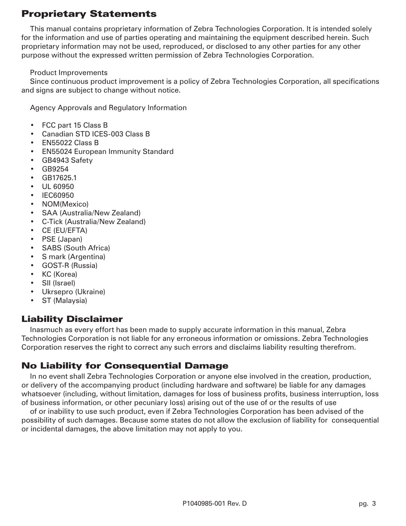# Proprietary Statements

This manual contains proprietary information of Zebra Technologies Corporation. It is intended solely for the information and use of parties operating and maintaining the equipment described herein. Such proprietary information may not be used, reproduced, or disclosed to any other parties for any other purpose without the expressed written permission of Zebra Technologies Corporation.

#### Product Improvements

Since continuous product improvement is a policy of Zebra Technologies Corporation, all specifications and signs are subject to change without notice.

Agency Approvals and Regulatory Information

- FCC part 15 Class B
- Canadian STD ICES-003 Class B
- EN55022 Class B
- EN55024 European Immunity Standard
- GB4943 Safety
- GB9254
- GB17625.1
- UL 60950
- IEC60950
- NOM(Mexico)
- SAA (Australia/New Zealand)
- C-Tick (Australia/New Zealand)
- CE (EU/EFTA)
- PSE (Japan)
- SABS (South Africa)
- S mark (Argentina)
- GOST-R (Russia)
- KC (Korea)
- SII (Israel)
- Ukrsepro (Ukraine)
- ST (Malaysia)

#### Liability Disclaimer

Inasmuch as every effort has been made to supply accurate information in this manual, Zebra Technologies Corporation is not liable for any erroneous information or omissions. Zebra Technologies Corporation reserves the right to correct any such errors and disclaims liability resulting therefrom.

#### No Liability for Consequential Damage

In no event shall Zebra Technologies Corporation or anyone else involved in the creation, production, or delivery of the accompanying product (including hardware and software) be liable for any damages whatsoever (including, without limitation, damages for loss of business profits, business interruption, loss of business information, or other pecuniary loss) arising out of the use of or the results of use

of or inability to use such product, even if Zebra Technologies Corporation has been advised of the possibility of such damages. Because some states do not allow the exclusion of liability for consequential or incidental damages, the above limitation may not apply to you.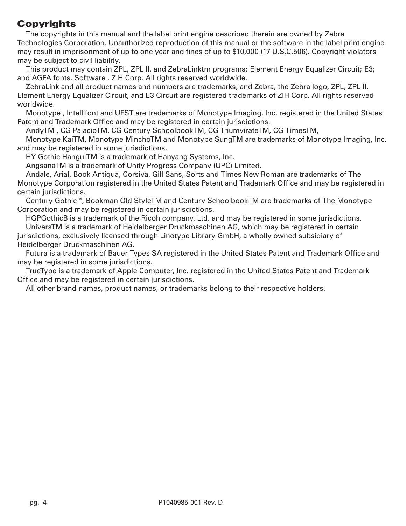# **Copyrights**

The copyrights in this manual and the label print engine described therein are owned by Zebra Technologies Corporation. Unauthorized reproduction of this manual or the software in the label print engine may result in imprisonment of up to one year and fines of up to \$10,000 (17 U.S.C.506). Copyright violators may be subject to civil liability.

This product may contain ZPL, ZPL II, and ZebraLinktm programs; Element Energy Equalizer Circuit; E3; and AGFA fonts. Software . ZIH Corp. All rights reserved worldwide.

ZebraLink and all product names and numbers are trademarks, and Zebra, the Zebra logo, ZPL, ZPL II, Element Energy Equalizer Circuit, and E3 Circuit are registered trademarks of ZIH Corp. All rights reserved worldwide.

Monotype , Intellifont and UFST are trademarks of Monotype Imaging, Inc. registered in the United States Patent and Trademark Office and may be registered in certain jurisdictions.

AndyTM , CG PalacioTM, CG Century SchoolbookTM, CG TriumvirateTM, CG TimesTM,

Monotype KaiTM, Monotype MinchoTM and Monotype SungTM are trademarks of Monotype Imaging, Inc. and may be registered in some jurisdictions.

HY Gothic HangulTM is a trademark of Hanyang Systems, Inc.

AngsanaTM is a trademark of Unity Progress Company (UPC) Limited.

Andale, Arial, Book Antiqua, Corsiva, Gill Sans, Sorts and Times New Roman are trademarks of The Monotype Corporation registered in the United States Patent and Trademark Office and may be registered in certain jurisdictions.

Century Gothic™, Bookman Old StyleTM and Century SchoolbookTM are trademarks of The Monotype Corporation and may be registered in certain jurisdictions.

HGPGothicB is a trademark of the Ricoh company, Ltd. and may be registered in some jurisdictions. UniversTM is a trademark of Heidelberger Druckmaschinen AG, which may be registered in certain jurisdictions, exclusively licensed through Linotype Library GmbH, a wholly owned subsidiary of Heidelberger Druckmaschinen AG.

Futura is a trademark of Bauer Types SA registered in the United States Patent and Trademark Office and may be registered in some jurisdictions.

TrueType is a trademark of Apple Computer, Inc. registered in the United States Patent and Trademark Office and may be registered in certain jurisdictions.

All other brand names, product names, or trademarks belong to their respective holders.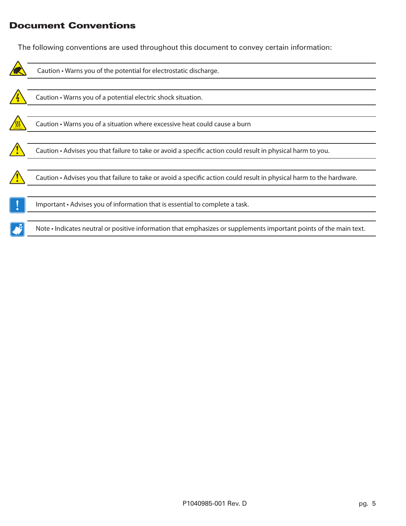# Document Conventions

The following conventions are used throughout this document to convey certain information:

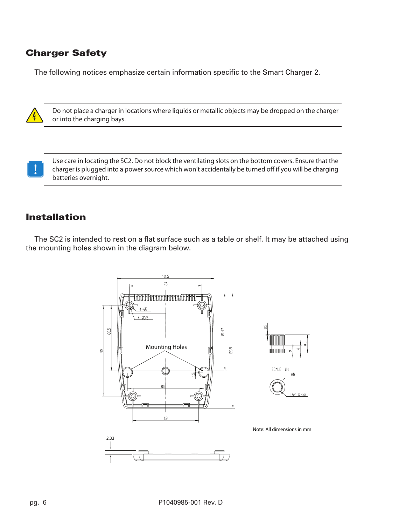# Charger Safety

The following notices emphasize certain information specific to the Smart Charger 2.



 Use care in locating the SC2. Do not block the ventilating slots on the bottom covers. Ensure that the charger is plugged into a power source which won't accidentally be turned off if you will be charging batteries overnight.

# Installation

The SC2 is intended to rest on a flat surface such as a table or shelf. It may be attached using the mounting holes shown in the diagram below.

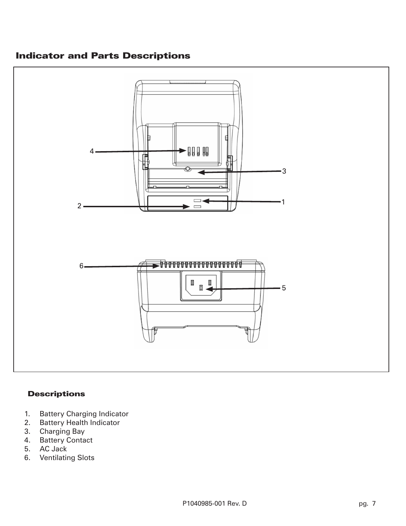# Indicator and Parts Descriptions



#### **Descriptions**

- 1. Battery Charging Indicator
- 2. Battery Health Indicator
- 3. Charging Bay
- 4. Battery Contact
- 5. AC Jack
- 6. Ventilating Slots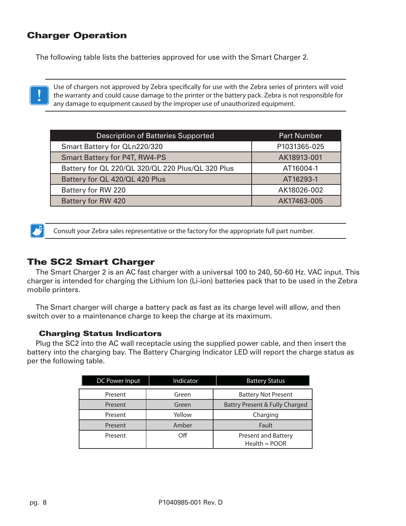# Charger Operation

The following table lists the batteries approved for use with the Smart Charger 2.



 Use of chargers not approved by Zebra specifically for use with the Zebra series of printers will void the warranty and could cause damage to the printer or the battery pack. Zebra is not responsible for any damage to equipment caused by the improper use of unauthorized equipment.

| <b>Description of Batteries Supported</b>         | <b>Part Number</b> |
|---------------------------------------------------|--------------------|
| Smart Battery for QLn220/320                      | P1031365-025       |
| Smart Battery for P4T, RW4-PS                     | AK18913-001        |
| Battery for QL 220/QL 320/QL 220 Plus/QL 320 Plus | AT16004-1          |
| Battery for QL 420/QL 420 Plus                    | AT16293-1          |
| Battery for RW 220                                | AK18026-002        |
| Battery for RW 420                                | AK17463-005        |

 Consult your Zebra sales representative or the factory for the appropriate full part number.

## The SC2 Smart Charger

The Smart Charger 2 is an AC fast charger with a universal 100 to 240, 50-60 Hz. VAC input. This charger is intended for charging the Lithium Ion (Li-ion) batteries pack that to be used in the Zebra mobile printers.

The Smart charger will charge a battery pack as fast as its charge level will allow, and then switch over to a maintenance charge to keep the charge at its maximum.

#### Charging Status Indicators

Plug the SC2 into the AC wall receptacle using the supplied power cable, and then insert the battery into the charging bay. The Battery Charging Indicator LED will report the charge status as per the following table.

| DC Power Input | Indicator | <b>Battery Status</b>                         |
|----------------|-----------|-----------------------------------------------|
| Present        | Green     | <b>Battery Not Present</b>                    |
| Present        | Green     | Battry Present & Fully Charged                |
| Present        | Yellow    | Charging                                      |
| Present        | Amber     | Fault                                         |
| Present        | Off       | <b>Present and Battery</b><br>$Health = POOR$ |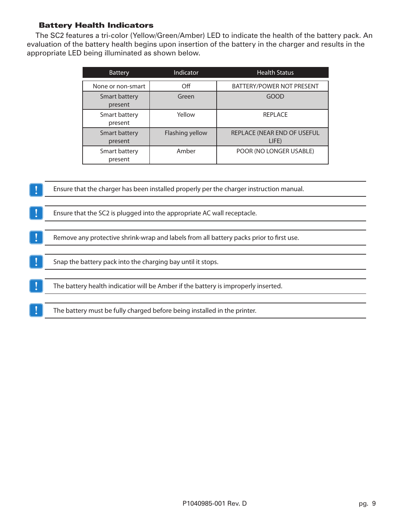#### Battery Health Indicators

The SC2 features a tri-color (Yellow/Green/Amber) LED to indicate the health of the battery pack. An evaluation of the battery health begins upon insertion of the battery in the charger and results in the appropriate LED being illuminated as shown below.

| <b>Battery</b>                  | Indicator       | <b>Health Status</b>                 |
|---------------------------------|-----------------|--------------------------------------|
| None or non-smart               | Off             | BATTERY/POWER NOT PRESENT            |
| <b>Smart battery</b><br>present | Green           | <b>GOOD</b>                          |
| Smart battery<br>present        | Yellow          | <b>REPLACE</b>                       |
| <b>Smart battery</b><br>present | Flashing yellow | REPLACE (NEAR END OF USEFUL<br>LIFE) |
| Smart battery<br>present        | Amber           | POOR (NO LONGER USABLE)              |

| Ensure that the charger has been installed properly per the charger instruction manual. |
|-----------------------------------------------------------------------------------------|
|                                                                                         |
| Ensure that the SC2 is plugged into the appropriate AC wall receptacle.                 |
|                                                                                         |
| Remove any protective shrink-wrap and labels from all battery packs prior to first use. |
|                                                                                         |
| Snap the battery pack into the charging bay until it stops.                             |
|                                                                                         |
| The battery health indicatior will be Amber if the battery is improperly inserted.      |
|                                                                                         |
| The battery must be fully charged before being installed in the printer.                |
|                                                                                         |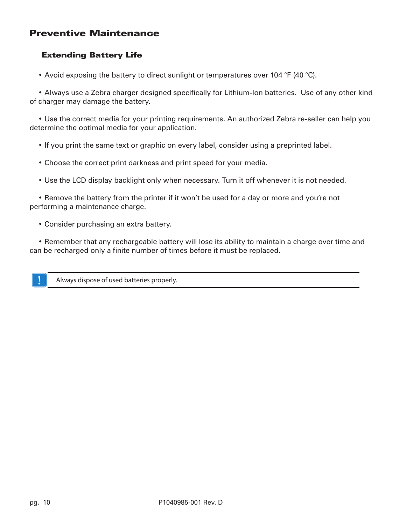# Preventive Maintenance

#### Extending Battery Life

• Avoid exposing the battery to direct sunlight or temperatures over 104  $\degree$ F (40  $\degree$ C).

• Always use a Zebra charger designed specifically for Lithium-Ion batteries. Use of any other kind of charger may damage the battery.

• Use the correct media for your printing requirements. An authorized Zebra re-seller can help you determine the optimal media for your application.

• If you print the same text or graphic on every label, consider using a preprinted label.

- Choose the correct print darkness and print speed for your media.
- Use the LCD display backlight only when necessary. Turn it off whenever it is not needed.

• Remove the battery from the printer if it won't be used for a day or more and you're not performing a maintenance charge.

• Consider purchasing an extra battery.

• Remember that any rechargeable battery will lose its ability to maintain a charge over time and can be recharged only a finite number of times before it must be replaced.

 Always dispose of used batteries properly.